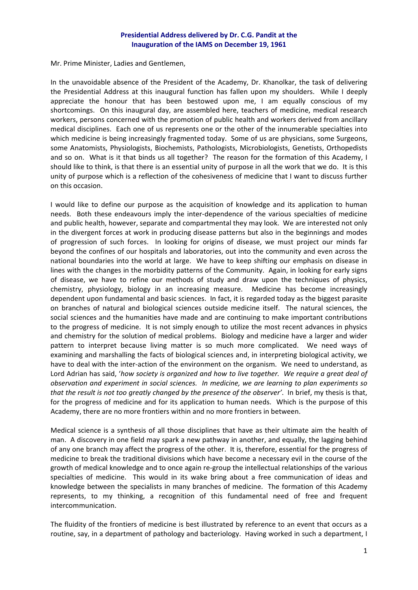## **Presidential Address delivered by Dr. C.G. Pandit at the Inauguration of the IAMS on December 19, 1961**

Mr. Prime Minister, Ladies and Gentlemen,

In the unavoidable absence of the President of the Academy, Dr. Khanolkar, the task of delivering the Presidential Address at this inaugural function has fallen upon my shoulders. While I deeply appreciate the honour that has been bestowed upon me, I am equally conscious of my shortcomings. On this inaugural day, are assembled here, teachers of medicine, medical research workers, persons concerned with the promotion of public health and workers derived from ancillary medical disciplines. Each one of us represents one or the other of the innumerable specialties into which medicine is being increasingly fragmented today. Some of us are physicians, some Surgeons, some Anatomists, Physiologists, Biochemists, Pathologists, Microbiologists, Genetists, Orthopedists and so on. What is it that binds us all together? The reason for the formation of this Academy, I should like to think, is that there is an essential unity of purpose in all the work that we do. It is this unity of purpose which is a reflection of the cohesiveness of medicine that I want to discuss further on this occasion.

I would like to define our purpose as the acquisition of knowledge and its application to human needs. Both these endeavours imply the inter-dependence of the various specialties of medicine and public health, however, separate and compartmental they may look. We are interested not only in the divergent forces at work in producing disease patterns but also in the beginnings and modes of progression of such forces. In looking for origins of disease, we must project our minds far beyond the confines of our hospitals and laboratories, out into the community and even across the national boundaries into the world at large. We have to keep shifting our emphasis on disease in lines with the changes in the morbidity patterns of the Community. Again, in looking for early signs of disease, we have to refine our methods of study and draw upon the techniques of physics, chemistry, physiology, biology in an increasing measure. Medicine has become increasingly dependent upon fundamental and basic sciences. In fact, it is regarded today as the biggest parasite on branches of natural and biological sciences outside medicine itself. The natural sciences, the social sciences and the humanities have made and are continuing to make important contributions to the progress of medicine. It is not simply enough to utilize the most recent advances in physics and chemistry for the solution of medical problems. Biology and medicine have a larger and wider pattern to interpret because living matter is so much more complicated. We need ways of examining and marshalling the facts of biological sciences and, in interpreting biological activity, we have to deal with the inter-action of the environment on the organism. We need to understand, as Lord Adrian has said, '*how society is organized and how to live together. We require a great deal of observation and experiment in social sciences. In medicine, we are learning to plan experiments so that the result is not too greatly changed by the presence of the observer'*. In brief, my thesis is that, for the progress of medicine and for its application to human needs. Which is the purpose of this Academy, there are no more frontiers within and no more frontiers in between.

Medical science is a synthesis of all those disciplines that have as their ultimate aim the health of man. A discovery in one field may spark a new pathway in another, and equally, the lagging behind of any one branch may affect the progress of the other. It is, therefore, essential for the progress of medicine to break the traditional divisions which have become a necessary evil in the course of the growth of medical knowledge and to once again re‐group the intellectual relationships of the various specialties of medicine. This would in its wake bring about a free communication of ideas and knowledge between the specialists in many branches of medicine. The formation of this Academy represents, to my thinking, a recognition of this fundamental need of free and frequent intercommunication.

The fluidity of the frontiers of medicine is best illustrated by reference to an event that occurs as a routine, say, in a department of pathology and bacteriology. Having worked in such a department, I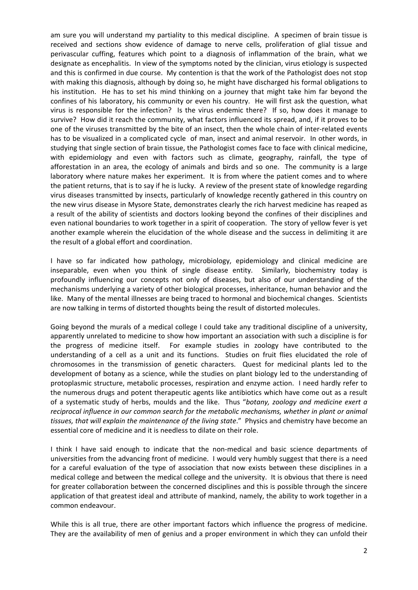am sure you will understand my partiality to this medical discipline. A specimen of brain tissue is received and sections show evidence of damage to nerve cells, proliferation of glial tissue and perivascular cuffing, features which point to a diagnosis of inflammation of the brain, what we designate as encephalitis. In view of the symptoms noted by the clinician, virus etiology is suspected and this is confirmed in due course. My contention is that the work of the Pathologist does not stop with making this diagnosis, although by doing so, he might have discharged his formal obligations to his institution. He has to set his mind thinking on a journey that might take him far beyond the confines of his laboratory, his community or even his country. He will first ask the question, what virus is responsible for the infection? Is the virus endemic there? If so, how does it manage to survive? How did it reach the community, what factors influenced its spread, and, if it proves to be one of the viruses transmitted by the bite of an insect, then the whole chain of inter-related events has to be visualized in a complicated cycle of man, insect and animal reservoir. In other words, in studying that single section of brain tissue, the Pathologist comes face to face with clinical medicine, with epidemiology and even with factors such as climate, geography, rainfall, the type of afforestation in an area, the ecology of animals and birds and so one. The community is a large laboratory where nature makes her experiment. It is from where the patient comes and to where the patient returns, that is to say if he is lucky. A review of the present state of knowledge regarding virus diseases transmitted by insects, particularly of knowledge recently gathered in this country on the new virus disease in Mysore State, demonstrates clearly the rich harvest medicine has reaped as a result of the ability of scientists and doctors looking beyond the confines of their disciplines and even national boundaries to work together in a spirit of cooperation. The story of yellow fever is yet another example wherein the elucidation of the whole disease and the success in delimiting it are the result of a global effort and coordination.

I have so far indicated how pathology, microbiology, epidemiology and clinical medicine are inseparable, even when you think of single disease entity. Similarly, biochemistry today is profoundly influencing our concepts not only of diseases, but also of our understanding of the mechanisms underlying a variety of other biological processes, inheritance, human behavior and the like. Many of the mental illnesses are being traced to hormonal and biochemical changes. Scientists are now talking in terms of distorted thoughts being the result of distorted molecules.

Going beyond the murals of a medical college I could take any traditional discipline of a university, apparently unrelated to medicine to show how important an association with such a discipline is for the progress of medicine itself. For example studies in zoology have contributed to the understanding of a cell as a unit and its functions. Studies on fruit flies elucidated the role of chromosomes in the transmission of genetic characters. Quest for medicinal plants led to the development of botany as a science, while the studies on plant biology led to the understanding of protoplasmic structure, metabolic processes, respiration and enzyme action. I need hardly refer to the numerous drugs and potent therapeutic agents like antibiotics which have come out as a result of a systematic study of herbs, moulds and the like. Thus "*botany, zoology and medicine exert a reciprocal influence in our common search for the metabolic mechanisms, whether in plant or animal tissues, that will explain the maintenance of the living state*." Physics and chemistry have become an essential core of medicine and it is needless to dilate on their role.

I think I have said enough to indicate that the non-medical and basic science departments of universities from the advancing front of medicine. I would very humbly suggest that there is a need for a careful evaluation of the type of association that now exists between these disciplines in a medical college and between the medical college and the university. It is obvious that there is need for greater collaboration between the concerned disciplines and this is possible through the sincere application of that greatest ideal and attribute of mankind, namely, the ability to work together in a common endeavour.

While this is all true, there are other important factors which influence the progress of medicine. They are the availability of men of genius and a proper environment in which they can unfold their